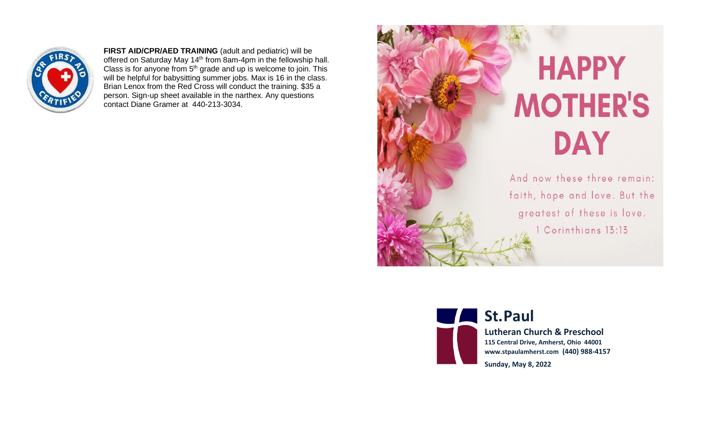

**FIRST AID/CPR/AED TRAINING** (adult and pediatric) will be offered on Saturday May 14<sup>th</sup> from 8am-4pm in the fellowship hall. Class is for anyone from  $5<sup>th</sup>$  grade and up is welcome to join. This will be helpful for babysitting summer jobs. Max is 16 in the class. Brian Lenox from the Red Cross will conduct the training. \$35 a person. Sign-up sheet available in the narthex. Any questions contact Diane Gramer at 440-213-3034.





**St.Paul** 

**Lutheran Church & Preschool 115 Central Drive, Amherst, Ohio 44001 www.stpaulamherst.com (440) 988-4157**

**Sunday, May 8, 2022**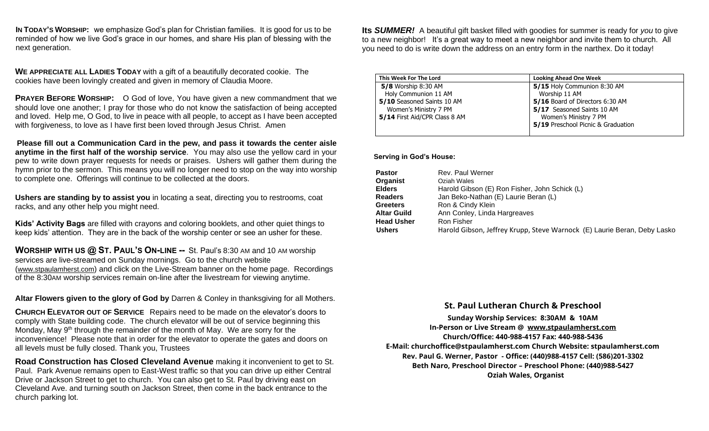**IN TODAY'S WORSHIP:** we emphasize God's plan for Christian families. It is good for us to be reminded of how we live God's grace in our homes, and share His plan of blessing with the next generation.

**WE APPRECIATE ALL LADIES TODAY** with a gift of a beautifully decorated cookie. The cookies have been lovingly created and given in memory of Claudia Moore.

**PRAYER BEFORE WORSHIP:** O God of love, You have given a new commandment that we should love one another; I pray for those who do not know the satisfaction of being accepted and loved. Help me, O God, to live in peace with all people, to accept as I have been accepted with forgiveness, to love as I have first been loved through Jesus Christ. Amen

**Please fill out a Communication Card in the pew, and pass it towards the center aisle anytime in the first half of the worship service**. You may also use the yellow card in your pew to write down prayer requests for needs or praises. Ushers will gather them during the hymn prior to the sermon. This means you will no longer need to stop on the way into worship to complete one. Offerings will continue to be collected at the doors.

**Ushers are standing by to assist you** in locating a seat, directing you to restrooms, coat racks, and any other help you might need.

**Kids' Activity Bags** are filled with crayons and coloring booklets, and other quiet things to keep kids' attention. They are in the back of the worship center or see an usher for these.

**WORSHIP WITH US @ ST. PAUL'S ON-LINE --** St. Paul's 8:30 AM and 10 AM worship services are live-streamed on Sunday mornings. Go to the church website (www.stpaulamherst.com) and click on the Live-Stream banner on the home page. Recordings of the 8:30AM worship services remain on-line after the livestream for viewing anytime.

**Altar Flowers given to the glory of God by** Darren & Conley in thanksgiving for all Mothers.

**CHURCH ELEVATOR OUT OF SERVICE** Repairs need to be made on the elevator's doors to comply with State building code. The church elevator will be out of service beginning this Monday, May  $9<sup>th</sup>$  through the remainder of the month of May. We are sorry for the inconvenience! Please note that in order for the elevator to operate the gates and doors on all levels must be fully closed. Thank you, Trustees

**Road Construction has Closed Cleveland Avenue** making it inconvenient to get to St. Paul. Park Avenue remains open to East-West traffic so that you can drive up either Central Drive or Jackson Street to get to church. You can also get to St. Paul by driving east on Cleveland Ave. and turning south on Jackson Street, then come in the back entrance to the church parking lot.

**Its** *SUMMER!* A beautiful gift basket filled with goodies for summer is ready for *you* to give to a new neighbor! It's a great way to meet a new neighbor and invite them to church. All you need to do is write down the address on an entry form in the narthex. Do it today!

| This Week For The Lord        | <b>Looking Ahead One Week</b>      |
|-------------------------------|------------------------------------|
| 5/8 Worship 8:30 AM           | 5/15 Holy Communion 8:30 AM        |
| Holy Communion 11 AM          | Worship 11 AM                      |
| 5/10 Seasoned Saints 10 AM    | 5/16 Board of Directors 6:30 AM    |
| Women's Ministry 7 PM         | 5/17 Seasoned Saints 10 AM         |
| 5/14 First Aid/CPR Class 8 AM | Women's Ministry 7 PM              |
|                               | 5/19 Preschool Picnic & Graduation |
|                               |                                    |

 **Serving in God's House:**

| <b>Pastor</b>      | Rev. Paul Werner                                                         |
|--------------------|--------------------------------------------------------------------------|
| Organist           | Oziah Wales                                                              |
| <b>Elders</b>      | Harold Gibson (E) Ron Fisher, John Schick (L)                            |
| <b>Readers</b>     | Jan Beko-Nathan (E) Laurie Beran (L)                                     |
| <b>Greeters</b>    | Ron & Cindy Klein                                                        |
| <b>Altar Guild</b> | Ann Conley, Linda Hargreaves                                             |
| <b>Head Usher</b>  | Ron Fisher                                                               |
| <b>Ushers</b>      | Harold Gibson, Jeffrey Krupp, Steve Warnock (E) Laurie Beran, Deby Lasko |

## **St. Paul Lutheran Church & Preschool**

**Sunday Worship Services: 8:30**AM **& 10**AM **In-Person or Live Stream** @ [www.stpaulamherst.com](http://www.stpaulamherst.com/) **Church/Office: 440-988-4157 Fax: 440-988-5436 E-Mail: churchoffice@stpaulamherst.com Church Website: stpaulamherst.com Rev. Paul G. Werner, Pastor - Office: (440)988-4157 Cell: (586)201-3302 Beth Naro, Preschool Director – Preschool Phone: (440)988-5427 Oziah Wales, Organist**